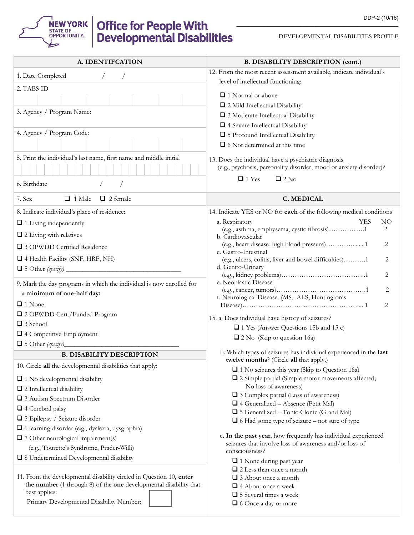

DEVELOPMENTAL DISABILITIES PROFILE

| A. IDENTIFCATION                                                                   | <b>B. DISABILITY DESCRIPTION (cont.)</b>                                                                                   |  |  |  |  |
|------------------------------------------------------------------------------------|----------------------------------------------------------------------------------------------------------------------------|--|--|--|--|
| 1. Date Completed                                                                  | 12. From the most recent assessment available, indicate individual's                                                       |  |  |  |  |
| 2. TABS ID                                                                         | level of intellectual functioning:                                                                                         |  |  |  |  |
|                                                                                    | $\Box$ 1 Normal or above                                                                                                   |  |  |  |  |
|                                                                                    | 2 Mild Intellectual Disability                                                                                             |  |  |  |  |
| 3. Agency / Program Name:                                                          | □ 3 Moderate Intellectual Disability                                                                                       |  |  |  |  |
|                                                                                    | 4 Severe Intellectual Disability                                                                                           |  |  |  |  |
| 4. Agency / Program Code:                                                          | □ 5 Profound Intellectual Disability                                                                                       |  |  |  |  |
|                                                                                    | $\Box$ 6 Not determined at this time                                                                                       |  |  |  |  |
| 5. Print the individual's last name, first name and middle initial                 | 13. Does the individual have a psychiatric diagnosis<br>(e.g., psychosis, personality disorder, mood or anxiety disorder)? |  |  |  |  |
| 6. Birthdate                                                                       | $\Box$ 1 Yes<br>$\Box$ 2 No                                                                                                |  |  |  |  |
| $\Box$ 1 Male<br>7. Sex<br>$\Box$ 2 female                                         | C. MEDICAL                                                                                                                 |  |  |  |  |
| 8. Indicate individual's place of residence:                                       | 14. Indicate YES or NO for each of the following medical conditions                                                        |  |  |  |  |
| $\Box$ 1 Living independently                                                      | <b>YES</b><br>a. Respiratory<br>NO.                                                                                        |  |  |  |  |
| $\Box$ 2 Living with relatives                                                     | (e.g., asthma, emphysema, cystic fibrosis)1<br>2<br>b. Cardiovascular                                                      |  |  |  |  |
| □ 3 OPWDD Certified Residence                                                      | (e.g., heart disease, high blood pressure)1<br>2<br>c. Gastro-Intestinal                                                   |  |  |  |  |
| 4 Health Facility (SNF, HRF, NH)                                                   | (e.g., ulcers, colitis, liver and bowel difficulties)1<br>2<br>d. Genito-Urinary                                           |  |  |  |  |
|                                                                                    | 2                                                                                                                          |  |  |  |  |
| 9. Mark the day programs in which the individual is now enrolled for               | e. Neoplastic Disease<br>2                                                                                                 |  |  |  |  |
| a minimum of one-half day:                                                         | f. Neurological Disease (MS, ALS, Huntington's                                                                             |  |  |  |  |
| $\Box$ 1 None                                                                      | 2                                                                                                                          |  |  |  |  |
| 2 OPWDD Cert./Funded Program                                                       | 15. a. Does individual have history of seizures?                                                                           |  |  |  |  |
| $\Box$ 3 School                                                                    | □ 1 Yes (Answer Questions 15b and 15 c)                                                                                    |  |  |  |  |
| 4 Competitive Employment<br>$\Box$ 5 Other (specify)                               | $\Box$ 2 No (Skip to question 16a)                                                                                         |  |  |  |  |
| <b>B. DISABILITY DESCRIPTION</b>                                                   | b. Which types of seizures has individual experienced in the last                                                          |  |  |  |  |
| 10. Circle all the developmental disabilities that apply:                          | <b>twelve months?</b> (Circle <b>all</b> that apply.)                                                                      |  |  |  |  |
|                                                                                    | $\Box$ 1 No seizures this year (Skip to Question 16a)                                                                      |  |  |  |  |
| $\Box$ 1 No developmental disability                                               | $\square$ 2 Simple partial (Simple motor movements affected;<br>No loss of awareness)                                      |  |  |  |  |
| $\Box$ 2 Intellectual disability                                                   | □ 3 Complex partial (Loss of awareness)                                                                                    |  |  |  |  |
| 3 Autism Spectrum Disorder                                                         | $\Box$ 4 Generalized – Absence (Petit Mal)                                                                                 |  |  |  |  |
| $\Box$ 4 Cerebral palsy                                                            | □ 5 Generalized – Tonic-Clonic (Grand Mal)                                                                                 |  |  |  |  |
| □ 5 Epilepsy / Seizure disorder                                                    | $\Box$ 6 Had some type of seizure – not sure of type                                                                       |  |  |  |  |
| □ 6 learning disorder (e.g., dyslexia, dysgraphia)                                 | c. In the past year, how frequently has individual experienced                                                             |  |  |  |  |
| $\Box$ 7 Other neurological impairment(s)                                          | seizures that involve loss of awareness and/or loss of                                                                     |  |  |  |  |
| (e.g., Tourette's Syndrome, Prader-Willi)                                          | consciousness?                                                                                                             |  |  |  |  |
| □ 8 Undetermined Developmental disability                                          | 1 None during past year                                                                                                    |  |  |  |  |
|                                                                                    | $\Box$ 2 Less than once a month                                                                                            |  |  |  |  |
| 11. From the developmental disability circled in Question 10, enter                | $\Box$ 3 About once a month                                                                                                |  |  |  |  |
| the number (1 through 8) of the one developmental disability that<br>best applies: | $\Box$ 4 About once a week                                                                                                 |  |  |  |  |
| Primary Developmental Disability Number:                                           | □ 5 Several times a week<br>□ 6 Once a day or more                                                                         |  |  |  |  |
|                                                                                    |                                                                                                                            |  |  |  |  |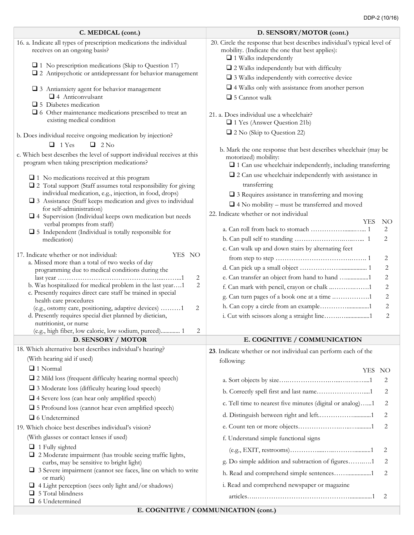| C. MEDICAL (cont.)                                                                                                        | D. SENSORY/MOTOR (cont.)                                                                                                                                     |
|---------------------------------------------------------------------------------------------------------------------------|--------------------------------------------------------------------------------------------------------------------------------------------------------------|
| 16. a. Indicate all types of prescription medications the individual<br>receives on an ongoing basis?                     | 20. Circle the response that best describes individual's typical level of<br>mobility. (Indicate the one that best applies):<br>$\Box$ 1 Walks independently |
| $\Box$ 1 No prescription medications (Skip to Question 17)                                                                | $\Box$ 2 Walks independently but with difficulty                                                                                                             |
| 2 Antipsychotic or antidepressant for behavior management                                                                 | $\square$ 3 Walks independently with corrective device                                                                                                       |
| □ 3 Antianxiety agent for behavior management                                                                             | $\square$ 4 Walks only with assistance from another person                                                                                                   |
| 4 Anticonvulsant                                                                                                          | $\Box$ 5 Cannot walk                                                                                                                                         |
| $\Box$ 5 Diabetes medication                                                                                              |                                                                                                                                                              |
| $\Box$ 6 Other maintenance medications prescribed to treat an<br>existing medical condition                               | 21. a. Does individual use a wheelchair?<br>1 Yes (Answer Question 21b)                                                                                      |
| b. Does individual receive ongoing medication by injection?                                                               | 2 2 No (Skip to Question 22)                                                                                                                                 |
| $\Box$ 1 Yes<br>$\Box$ 2 No                                                                                               |                                                                                                                                                              |
| c. Which best describes the level of support individual receives at this<br>program when taking prescription medications? | b. Mark the one response that best describes wheelchair (may be<br>motorized) mobility:<br>$\Box$ 1 Can use wheelchair independently, including transferring |
| $\Box$ 1 No medications received at this program                                                                          | $\square$ 2 Can use wheelchair independently with assistance in                                                                                              |
| 2 Total support (Staff assumes total responsibility for giving                                                            | transferring                                                                                                                                                 |
| individual medication, e.g., injection, in food, drops)<br>□ 3 Assistance (Staff keeps medication and gives to individual | $\square$ 3 Requires assistance in transferring and moving                                                                                                   |
| for self-administration)                                                                                                  | $\Box$ 4 No mobility – must be transferred and moved                                                                                                         |
| $\square$ 4 Supervision (Individual keeps own medication but needs                                                        | 22. Indicate whether or not individual<br>YES<br>NO.                                                                                                         |
| verbal prompts from staff)                                                                                                | 2                                                                                                                                                            |
| $\square$ 5 Independent (Individual is totally responsible for<br>medication)                                             | 2                                                                                                                                                            |
|                                                                                                                           | c. Can walk up and down stairs by alternating feet                                                                                                           |
| 17. Indicate whether or not individual:<br>YES NO                                                                         | 2                                                                                                                                                            |
| a. Missed more than a total of two weeks of day<br>programming due to medical conditions during the                       | 2                                                                                                                                                            |
| 2                                                                                                                         | e. Can transfer an object from hand to hand 1<br>2                                                                                                           |
| b. Was hospitalized for medical problem in the last year1<br>2                                                            | f. Can mark with pencil, crayon or chalk 1<br>2                                                                                                              |
| c. Presently requires direct care staff be trained in special<br>health care procedures                                   | g. Can turn pages of a book one at a time 1<br>2                                                                                                             |
| (e.g., ostomy care, positioning, adaptive devices) 1<br>2                                                                 | h. Can copy a circle from an example1<br>2                                                                                                                   |
| d. Presently requires special diet planned by dietician,                                                                  | 2                                                                                                                                                            |
| nutritionist, or nurse<br>(e.g., high fiber, low calorie, low sodium, pureed) 1<br>2                                      |                                                                                                                                                              |
| D. SENSORY / MOTOR                                                                                                        | E. COGNITIVE / COMMUNICATION                                                                                                                                 |
| 18. Which alternative best describes individual's hearing?                                                                | 23. Indicate whether or not individual can perform each of the                                                                                               |
| (With hearing aid if used)                                                                                                | following:                                                                                                                                                   |
| $\Box$ 1 Normal                                                                                                           | YES NO                                                                                                                                                       |
| $\Box$ 2 Mild loss (frequent difficulty hearing normal speech)                                                            | 2                                                                                                                                                            |
| $\Box$ 3 Moderate loss (difficulty hearing loud speech)                                                                   | b. Correctly spell first and last name1<br>2                                                                                                                 |
| $\Box$ 4 Severe loss (can hear only amplified speech)                                                                     | c. Tell time to nearest five minutes (digital or analog)1<br>2                                                                                               |
| □ 5 Profound loss (cannot hear even amplified speech)                                                                     | 2                                                                                                                                                            |
| Q 6 Undetermined                                                                                                          |                                                                                                                                                              |
| 19. Which choice best describes individual's vision?                                                                      | 2                                                                                                                                                            |
| (With glasses or contact lenses if used)                                                                                  | f. Understand simple functional signs                                                                                                                        |
| $\Box$ 1 Fully sighted<br>$\Box$ 2 Moderate impairment (has trouble seeing traffic lights,                                | 2                                                                                                                                                            |
| curbs, may be sensitive to bright light)                                                                                  | g. Do simple addition and subtraction of figures1<br>2                                                                                                       |
| $\Box$ 3 Severe impairment (cannot see faces, line on which to write                                                      | h. Read and comprehend simple sentences1<br>2                                                                                                                |
| or mark)<br>$\Box$ 4 Light perception (sees only light and/or shadows)                                                    | i. Read and comprehend newspaper or magazine                                                                                                                 |
| $\Box$ 5 Total blindness<br>□ 6 Undetermined                                                                              | 2                                                                                                                                                            |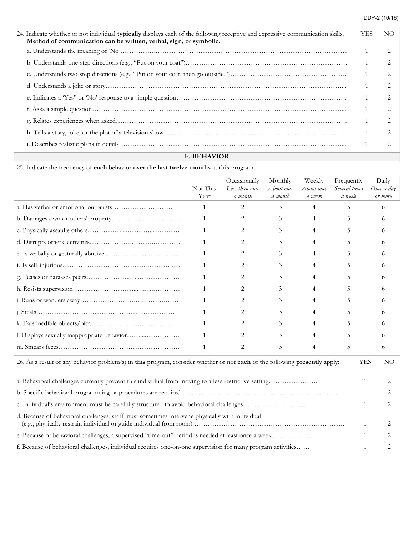| 24. Indicate whether or not individual typically displays each of the following receptive and expressive communication skills.<br>Method of communication can be written, verbal, sign, or symbolic. | YES | NO |
|------------------------------------------------------------------------------------------------------------------------------------------------------------------------------------------------------|-----|----|
|                                                                                                                                                                                                      |     |    |
|                                                                                                                                                                                                      |     |    |
|                                                                                                                                                                                                      |     |    |
|                                                                                                                                                                                                      |     |    |
|                                                                                                                                                                                                      |     |    |
|                                                                                                                                                                                                      |     |    |
|                                                                                                                                                                                                      |     |    |
|                                                                                                                                                                                                      |     |    |
|                                                                                                                                                                                                      |     |    |

## F. BEHAVIOR

25. Indicate the frequency of each behavior over the last twelve months at this program:

|                                                                                                                            | Not This<br>Year | Occasionally<br>Less than once<br>a month | Monthly<br>About once<br>a month | Weekly<br>About once<br>a week | Frequently<br>Several times<br>a week | Daily<br>Once a day<br>or more |
|----------------------------------------------------------------------------------------------------------------------------|------------------|-------------------------------------------|----------------------------------|--------------------------------|---------------------------------------|--------------------------------|
|                                                                                                                            | 1                | 2                                         | 3                                | 4                              | 5                                     | 6                              |
|                                                                                                                            | 1                | 2                                         | 3                                | $\overline{4}$                 | 5                                     | 6                              |
|                                                                                                                            | $\mathbf{1}$     | 2                                         | 3                                | 4                              | 5                                     | 6                              |
|                                                                                                                            | 1                | 2                                         | 3                                | $\overline{4}$                 | 5.                                    | 6                              |
|                                                                                                                            | 1                | 2                                         | 3                                | 4                              | 5                                     | 6                              |
|                                                                                                                            | 1                | 2                                         | 3                                | 4                              | 5                                     | 6                              |
|                                                                                                                            | 1                | 2                                         | 3                                | 4                              | 5                                     | 6                              |
|                                                                                                                            | 1                | 2                                         | 3                                | 4                              | 5                                     | 6                              |
|                                                                                                                            | 1                | 2                                         | 3                                | $\overline{4}$                 | 5                                     | 6                              |
|                                                                                                                            | 1                | 2                                         | 3                                | 4                              | 5                                     | 6                              |
|                                                                                                                            | 1                | 2                                         | 3                                | 4                              | 5                                     | 6                              |
|                                                                                                                            |                  | 2                                         | 3                                | 4                              | 5                                     | 6                              |
|                                                                                                                            | 1                | 2                                         | 3                                | $\overline{4}$                 | 5                                     | 6                              |
| 26. As a result of any behavior problem(s) in this program, consider whether or not each of the following presently apply: |                  |                                           |                                  |                                |                                       |                                |
|                                                                                                                            |                  |                                           |                                  |                                |                                       |                                |
|                                                                                                                            |                  |                                           |                                  |                                |                                       | $\mathbf{1}$<br>2              |
| c. Individual's environment must be carefully structured to avoid behavioral challenges                                    |                  |                                           |                                  |                                |                                       | 2<br>1                         |
| d. Because of behavioral challenges, staff must sometimes intervene physically with individual                             |                  |                                           |                                  |                                |                                       | 1                              |
| e. Because of behavioral challenges, a supervised "time-out" period is needed at least once a week                         |                  |                                           |                                  |                                |                                       | 2                              |
| f. Because of behavioral challenges, individual requires one-on-one supervision for many program activities                |                  |                                           |                                  |                                |                                       | 2<br>$\mathbf{1}$              |
|                                                                                                                            |                  |                                           |                                  |                                |                                       |                                |